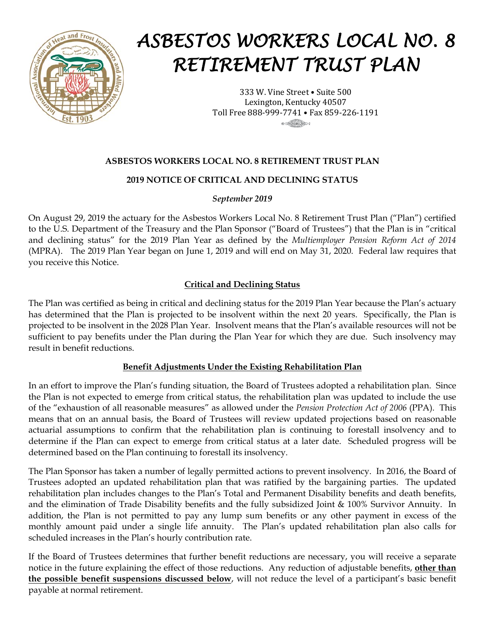

# *ASBESTOS WORKERS LOCAL NO. 8 RETIREMENT TRUST PLAN*

333 W. Vine Street • Suite 500 Lexington, Kentucky 40507 Toll Free 888-999-7741 • Fax 859-226-1191

## **ASBESTOS WORKERS LOCAL NO. 8 RETIREMENT TRUST PLAN**

## **2019 NOTICE OF CRITICAL AND DECLINING STATUS**

### *September 2019*

On August 29, 2019 the actuary for the Asbestos Workers Local No. 8 Retirement Trust Plan ("Plan") certified to the U.S. Department of the Treasury and the Plan Sponsor ("Board of Trustees") that the Plan is in "critical and declining status" for the 2019 Plan Year as defined by the *Multiemployer Pension Reform Act of 2014*  (MPRA). The 2019 Plan Year began on June 1, 2019 and will end on May 31, 2020. Federal law requires that you receive this Notice.

## **Critical and Declining Status**

The Plan was certified as being in critical and declining status for the 2019 Plan Year because the Plan's actuary has determined that the Plan is projected to be insolvent within the next 20 years. Specifically, the Plan is projected to be insolvent in the 2028 Plan Year. Insolvent means that the Plan's available resources will not be sufficient to pay benefits under the Plan during the Plan Year for which they are due. Such insolvency may result in benefit reductions.

#### **Benefit Adjustments Under the Existing Rehabilitation Plan**

In an effort to improve the Plan's funding situation, the Board of Trustees adopted a rehabilitation plan. Since the Plan is not expected to emerge from critical status, the rehabilitation plan was updated to include the use of the "exhaustion of all reasonable measures" as allowed under the *Pension Protection Act of 2006* (PPA). This means that on an annual basis, the Board of Trustees will review updated projections based on reasonable actuarial assumptions to confirm that the rehabilitation plan is continuing to forestall insolvency and to determine if the Plan can expect to emerge from critical status at a later date. Scheduled progress will be determined based on the Plan continuing to forestall its insolvency.

The Plan Sponsor has taken a number of legally permitted actions to prevent insolvency. In 2016, the Board of Trustees adopted an updated rehabilitation plan that was ratified by the bargaining parties. The updated rehabilitation plan includes changes to the Plan's Total and Permanent Disability benefits and death benefits, and the elimination of Trade Disability benefits and the fully subsidized Joint & 100% Survivor Annuity. In addition, the Plan is not permitted to pay any lump sum benefits or any other payment in excess of the monthly amount paid under a single life annuity. The Plan's updated rehabilitation plan also calls for scheduled increases in the Plan's hourly contribution rate.

If the Board of Trustees determines that further benefit reductions are necessary, you will receive a separate notice in the future explaining the effect of those reductions. Any reduction of adjustable benefits, **other than the possible benefit suspensions discussed below**, will not reduce the level of a participant's basic benefit payable at normal retirement.